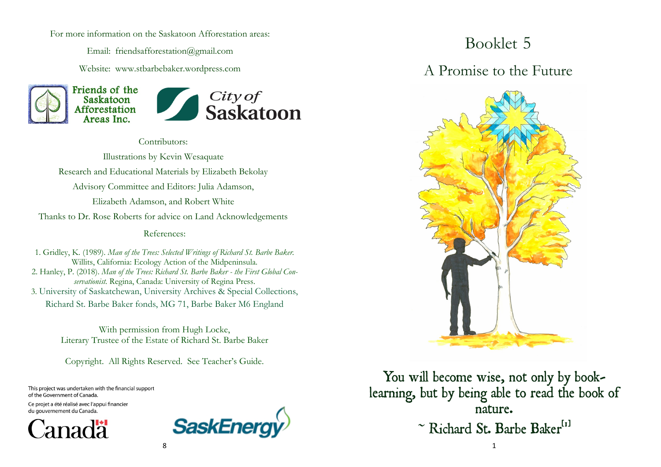For more information on the Saskatoon Afforestation areas:

Email: friendsafforestation@gmail.com

Website: www.stbarbebaker.wordpress.com





Contributors:

Illustrations by Kevin Wesaquate Research and Educational Materials by Elizabeth Bekolay Advisory Committee and Editors: Julia Adamson, Elizabeth Adamson, and Robert White Thanks to Dr. Rose Roberts for advice on Land Acknowledgements References:

1. Gridley, K. (1989). *Man of the Trees: Selected Writings of Richard St. Barbe Baker.*  Willits, California: Ecology Action of the Midpeninsula. 2. Hanley, P. (2018). *Man of the Trees: Richard St. Barbe Baker - the First Global Conservationist.* Regina, Canada: University of Regina Press. 3. University of Saskatchewan, University Archives & Special Collections, Richard St. Barbe Baker fonds, MG 71, Barbe Baker M6 England

> With permission from Hugh Locke, Literary Trustee of the Estate of Richard St. Barbe Baker

Copyright. All Rights Reserved. See Teacher's Guide.

This project was undertaken with the financial support of the Government of Canada.

Ce projet a été réalisé avec l'appui financier du gouvernement du Canada.





# Booklet 5

#### A Promise to the Future



You will become wise, not only by booklearning, but by being able to read the book of nature. ~ Richard St. Barbe Baker<sup>[1]</sup>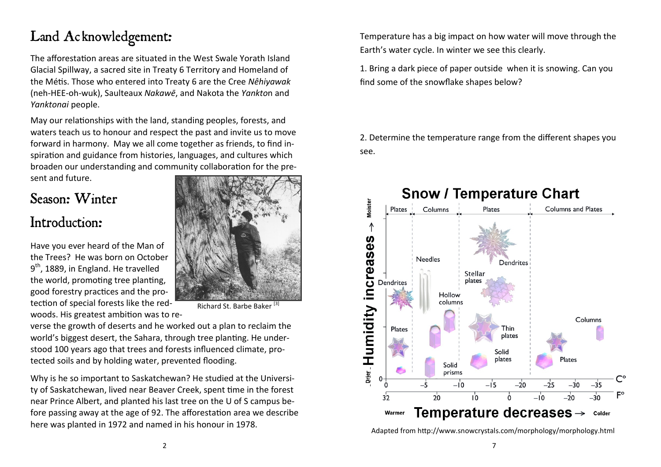# Land Acknowledgement:

The afforestation areas are situated in the West Swale Yorath Island Glacial Spillway, a sacred site in Treaty 6 Territory and Homeland of the Métis. Those who entered into Treaty 6 are the Cree *Nêhiyawak*  (neh-HEE-oh-wuk), Saulteaux *[Nakawē](https://en.wikipedia.org/wiki/Saulteaux)*, and Nakota the *Yankto*n and *Yanktonai* people.

May our relationships with the land, standing peoples, forests, and waters teach us to honour and respect the past and invite us to move forward in harmony. May we all come together as friends, to find inspiration and guidance from histories, languages, and cultures which broaden our understanding and community collaboration for the present and future.

### Season: Winter

#### Introduction:

Have you ever heard of the Man of the Trees? He was born on October 9<sup>th</sup>, 1889, in England. He travelled the world, promoting tree planting, good forestry practices and the protection of special forests like the redwoods. His greatest ambition was to re-



Richard St. Barbe Baker [3]

verse the growth of deserts and he worked out a plan to reclaim the world's biggest desert, the Sahara, through tree planting. He understood 100 years ago that trees and forests influenced climate, protected soils and by holding water, prevented flooding.

Why is he so important to Saskatchewan? He studied at the University of Saskatchewan, lived near Beaver Creek, spent time in the forest near Prince Albert, and planted his last tree on the U of S campus before passing away at the age of 92. The afforestation area we describe here was planted in 1972 and named in his honour in 1978.

Temperature has a big impact on how water will move through the Earth's water cycle. In winter we see this clearly.

1. Bring a dark piece of paper outside when it is snowing. Can you find some of the snowflake shapes below?

2. Determine the temperature range from the different shapes you see.



Adapted from <http://www.snowcrystals.com/morphology/morphology.html>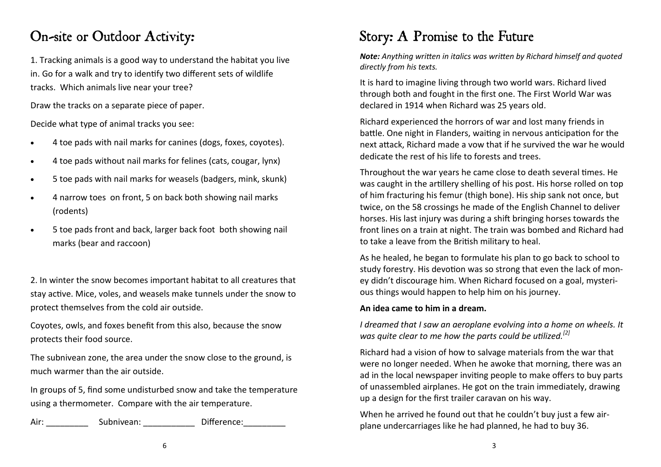### On-site or Outdoor Activity:

1. Tracking animals is a good way to understand the habitat you live in. Go for a walk and try to identify two different sets of wildlife tracks. Which animals live near your tree?

Draw the tracks on a separate piece of paper.

Decide what type of animal tracks you see:

- 4 toe pads with nail marks for canines (dogs, foxes, coyotes).
- 4 toe pads without nail marks for felines (cats, cougar, lynx)
- 5 toe pads with nail marks for weasels (badgers, mink, skunk)
- 4 narrow toes on front, 5 on back both showing nail marks (rodents)
- 5 toe pads front and back, larger back foot both showing nail marks (bear and raccoon)

2. In winter the snow becomes important habitat to all creatures that stay active. Mice, voles, and weasels make tunnels under the snow to protect themselves from the cold air outside.

Coyotes, owls, and foxes benefit from this also, because the snow protects their food source.

The subnivean zone, the area under the snow close to the ground, is much warmer than the air outside.

In groups of 5, find some undisturbed snow and take the temperature using a thermometer. Compare with the air temperature.

Air: Subnivean: Difference:

## Story: A Promise to the Future

*Note: Anything written in italics was written by Richard himself and quoted directly from his texts.* 

It is hard to imagine living through two world wars. Richard lived through both and fought in the first one. The First World War was declared in 1914 when Richard was 25 years old.

Richard experienced the horrors of war and lost many friends in battle. One night in Flanders, waiting in nervous anticipation for the next attack, Richard made a vow that if he survived the war he would dedicate the rest of his life to forests and trees.

Throughout the war years he came close to death several times. He was caught in the artillery shelling of his post. His horse rolled on top of him fracturing his femur (thigh bone). His ship sank not once, but twice, on the 58 crossings he made of the English Channel to deliver horses. His last injury was during a shift bringing horses towards the front lines on a train at night. The train was bombed and Richard had to take a leave from the British military to heal.

As he healed, he began to formulate his plan to go back to school to study forestry. His devotion was so strong that even the lack of money didn't discourage him. When Richard focused on a goal, mysterious things would happen to help him on his journey.

#### **An idea came to him in a dream.**

*I dreamed that I saw an aeroplane evolving into a home on wheels. It was quite clear to me how the parts could be utilized.[2]*

Richard had a vision of how to salvage materials from the war that were no longer needed. When he awoke that morning, there was an ad in the local newspaper inviting people to make offers to buy parts of unassembled airplanes. He got on the train immediately, drawing up a design for the first trailer caravan on his way.

When he arrived he found out that he couldn't buy just a few airplane undercarriages like he had planned, he had to buy 36.